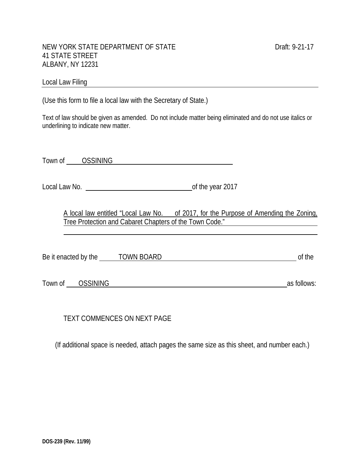#### NEW YORK STATE DEPARTMENT OF STATE DEALL ASSESSMENT OF STATE DRAFT: 9-21-17 41 STATE STREET ALBANY, NY 12231

#### Local Law Filing **Exercise 2018**

(Use this form to file a local law with the Secretary of State.)

Text of law should be given as amended. Do not include matter being eliminated and do not use italics or underlining to indicate new matter.

Town of OSSINING **CONSTRUSS CONSTRUSS CONSTRUSS** 

Local Law No. of the year 2017

A local law entitled "Local Law No. of 2017, for the Purpose of Amending the Zoning, Tree Protection and Cabaret Chapters of the Town Code."

Be it enacted by the TOWN BOARD of the TOWN BOARD

Town of <u>OSSINING</u> as follows:

ı

TEXT COMMENCES ON NEXT PAGE

(If additional space is needed, attach pages the same size as this sheet, and number each.)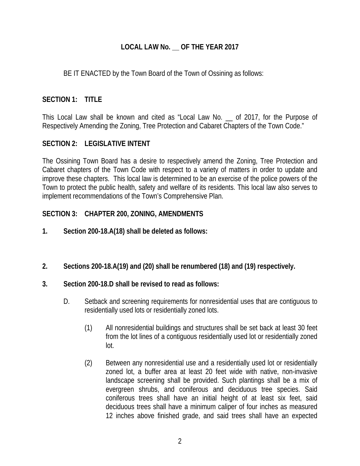## **LOCAL LAW No. \_\_ OF THE YEAR 2017**

### BE IT ENACTED by the Town Board of the Town of Ossining as follows:

# **SECTION 1: TITLE**

This Local Law shall be known and cited as "Local Law No. \_\_ of 2017, for the Purpose of Respectively Amending the Zoning, Tree Protection and Cabaret Chapters of the Town Code."

### **SECTION 2: LEGISLATIVE INTENT**

The Ossining Town Board has a desire to respectively amend the Zoning, Tree Protection and Cabaret chapters of the Town Code with respect to a variety of matters in order to update and improve these chapters. This local law is determined to be an exercise of the police powers of the Town to protect the public health, safety and welfare of its residents. This local law also serves to implement recommendations of the Town's Comprehensive Plan.

### **SECTION 3: CHAPTER 200, ZONING, AMENDMENTS**

- **1. Section 200-18.A(18) shall be deleted as follows:**
- **2. Sections 200-18.A(19) and (20) shall be renumbered (18) and (19) respectively.**

### **3. Section 200-18.D shall be revised to read as follows:**

- D. Setback and screening requirements for nonresidential uses that are contiguous to residentially used lots or residentially zoned lots.
	- (1) All nonresidential buildings and structures shall be set back at least 30 feet from the lot lines of a contiguous residentially used lot or residentially zoned lot.
	- (2) Between any nonresidential use and a residentially used lot or residentially zoned lot, a buffer area at least 20 feet wide with native, non-invasive landscape screening shall be provided. Such plantings shall be a mix of evergreen shrubs, and coniferous and deciduous tree species. Said coniferous trees shall have an initial height of at least six feet, said deciduous trees shall have a minimum caliper of four inches as measured 12 inches above finished grade, and said trees shall have an expected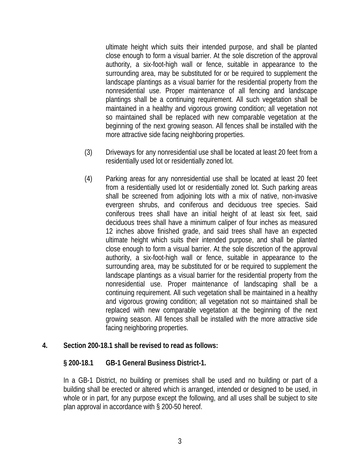ultimate height which suits their intended purpose, and shall be planted close enough to form a visual barrier. At the sole discretion of the approval authority, a six-foot-high wall or fence, suitable in appearance to the surrounding area, may be substituted for or be required to supplement the landscape plantings as a visual barrier for the residential property from the nonresidential use. Proper maintenance of all fencing and landscape plantings shall be a continuing requirement. All such vegetation shall be maintained in a healthy and vigorous growing condition; all vegetation not so maintained shall be replaced with new comparable vegetation at the beginning of the next growing season. All fences shall be installed with the more attractive side facing neighboring properties.

- (3) Driveways for any nonresidential use shall be located at least 20 feet from a residentially used lot or residentially zoned lot.
- (4) Parking areas for any nonresidential use shall be located at least 20 feet from a residentially used lot or residentially zoned lot. Such parking areas shall be screened from adjoining lots with a mix of native, non-invasive evergreen shrubs, and coniferous and deciduous tree species. Said coniferous trees shall have an initial height of at least six feet, said deciduous trees shall have a minimum caliper of four inches as measured 12 inches above finished grade, and said trees shall have an expected ultimate height which suits their intended purpose, and shall be planted close enough to form a visual barrier. At the sole discretion of the approval authority, a six-foot-high wall or fence, suitable in appearance to the surrounding area, may be substituted for or be required to supplement the landscape plantings as a visual barrier for the residential property from the nonresidential use. Proper maintenance of landscaping shall be a continuing requirement. All such vegetation shall be maintained in a healthy and vigorous growing condition; all vegetation not so maintained shall be replaced with new comparable vegetation at the beginning of the next growing season. All fences shall be installed with the more attractive side facing neighboring properties.

#### **4. Section 200-18.1 shall be revised to read as follows:**

#### **§ 200-18.1 GB-1 General Business District-1.**

In a GB-1 District, no building or premises shall be used and no building or part of a building shall be erected or altered which is arranged, intended or designed to be used, in whole or in part, for any purpose except the following, and all uses shall be subject to site plan approval in accordance with § 200-50 hereof.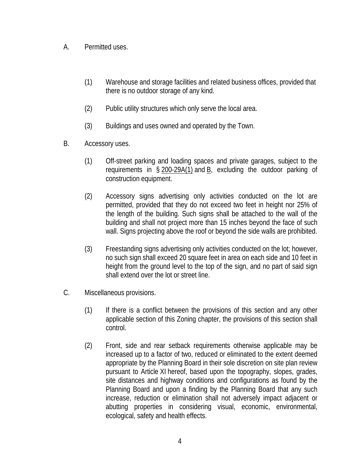- A. Permitted uses.
	- (1) Warehouse and storage facilities and related business offices, provided that there is no outdoor storage of any kind.
	- (2) Public utility structures which only serve the local area.
	- (3) Buildings and uses owned and operated by the Town.
- B. Accessory uses.
	- (1) Off-street parking and loading spaces and private garages, subject to the requirements in § 200-29A(1) and B, excluding the outdoor parking of construction equipment.
	- (2) Accessory signs advertising only activities conducted on the lot are permitted, provided that they do not exceed two feet in height nor 25% of the length of the building. Such signs shall be attached to the wall of the building and shall not project more than 15 inches beyond the face of such wall. Signs projecting above the roof or beyond the side walls are prohibited.
	- (3) Freestanding signs advertising only activities conducted on the lot; however, no such sign shall exceed 20 square feet in area on each side and 10 feet in height from the ground level to the top of the sign, and no part of said sign shall extend over the lot or street line.
- C. Miscellaneous provisions.
	- (1) If there is a conflict between the provisions of this section and any other applicable section of this Zoning chapter, the provisions of this section shall control.
	- (2) Front, side and rear setback requirements otherwise applicable may be increased up to a factor of two, reduced or eliminated to the extent deemed appropriate by the Planning Board in their sole discretion on site plan review pursuant to Article XI hereof, based upon the topography, slopes, grades, site distances and highway conditions and configurations as found by the Planning Board and upon a finding by the Planning Board that any such increase, reduction or elimination shall not adversely impact adjacent or abutting properties in considering visual, economic, environmental, ecological, safety and health effects.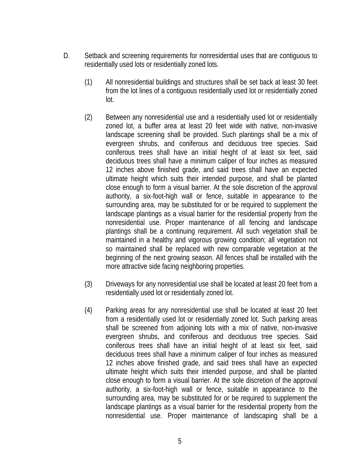- D. Setback and screening requirements for nonresidential uses that are contiguous to residentially used lots or residentially zoned lots.
	- (1) All nonresidential buildings and structures shall be set back at least 30 feet from the lot lines of a contiguous residentially used lot or residentially zoned lot.
	- (2) Between any nonresidential use and a residentially used lot or residentially zoned lot, a buffer area at least 20 feet wide with native, non-invasive landscape screening shall be provided. Such plantings shall be a mix of evergreen shrubs, and coniferous and deciduous tree species. Said coniferous trees shall have an initial height of at least six feet, said deciduous trees shall have a minimum caliper of four inches as measured 12 inches above finished grade, and said trees shall have an expected ultimate height which suits their intended purpose, and shall be planted close enough to form a visual barrier. At the sole discretion of the approval authority, a six-foot-high wall or fence, suitable in appearance to the surrounding area, may be substituted for or be required to supplement the landscape plantings as a visual barrier for the residential property from the nonresidential use. Proper maintenance of all fencing and landscape plantings shall be a continuing requirement. All such vegetation shall be maintained in a healthy and vigorous growing condition; all vegetation not so maintained shall be replaced with new comparable vegetation at the beginning of the next growing season. All fences shall be installed with the more attractive side facing neighboring properties.
	- (3) Driveways for any nonresidential use shall be located at least 20 feet from a residentially used lot or residentially zoned lot.
	- (4) Parking areas for any nonresidential use shall be located at least 20 feet from a residentially used lot or residentially zoned lot. Such parking areas shall be screened from adjoining lots with a mix of native, non-invasive evergreen shrubs, and coniferous and deciduous tree species. Said coniferous trees shall have an initial height of at least six feet, said deciduous trees shall have a minimum caliper of four inches as measured 12 inches above finished grade, and said trees shall have an expected ultimate height which suits their intended purpose, and shall be planted close enough to form a visual barrier. At the sole discretion of the approval authority, a six-foot-high wall or fence, suitable in appearance to the surrounding area, may be substituted for or be required to supplement the landscape plantings as a visual barrier for the residential property from the nonresidential use. Proper maintenance of landscaping shall be a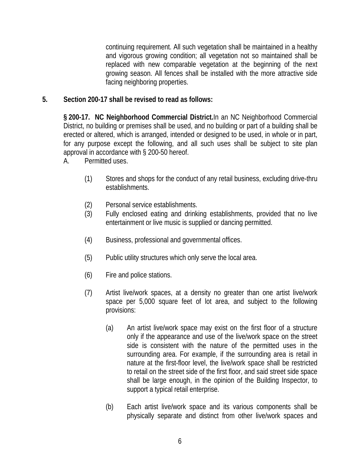continuing requirement. All such vegetation shall be maintained in a healthy and vigorous growing condition; all vegetation not so maintained shall be replaced with new comparable vegetation at the beginning of the next growing season. All fences shall be installed with the more attractive side facing neighboring properties.

### **5. Section 200-17 shall be revised to read as follows:**

**§ 200-17. NC Neighborhood Commercial District.**In an NC Neighborhood Commercial District, no building or premises shall be used, and no building or part of a building shall be erected or altered, which is arranged, intended or designed to be used, in whole or in part, for any purpose except the following, and all such uses shall be subject to site plan approval in accordance with § 200-50 hereof.

- A. Permitted uses.
	- (1) Stores and shops for the conduct of any retail business, excluding drive-thru establishments.
	- (2) Personal service establishments.
	- (3) Fully enclosed eating and drinking establishments, provided that no live entertainment or live music is supplied or dancing permitted.
	- (4) Business, professional and governmental offices.
	- (5) Public utility structures which only serve the local area.
	- (6) Fire and police stations.
	- (7) Artist live/work spaces, at a density no greater than one artist live/work space per 5,000 square feet of lot area, and subject to the following provisions:
		- (a) An artist live/work space may exist on the first floor of a structure only if the appearance and use of the live/work space on the street side is consistent with the nature of the permitted uses in the surrounding area. For example, if the surrounding area is retail in nature at the first-floor level, the live/work space shall be restricted to retail on the street side of the first floor, and said street side space shall be large enough, in the opinion of the Building Inspector, to support a typical retail enterprise.
		- (b) Each artist live/work space and its various components shall be physically separate and distinct from other live/work spaces and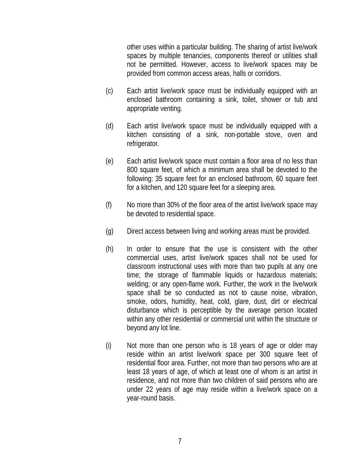other uses within a particular building. The sharing of artist live/work spaces by multiple tenancies, components thereof or utilities shall not be permitted. However, access to live/work spaces may be provided from common access areas, halls or corridors.

- (c) Each artist live/work space must be individually equipped with an enclosed bathroom containing a sink, toilet, shower or tub and appropriate venting.
- (d) Each artist live/work space must be individually equipped with a kitchen consisting of a sink, non-portable stove, oven and refrigerator.
- (e) Each artist live/work space must contain a floor area of no less than 800 square feet, of which a minimum area shall be devoted to the following: 35 square feet for an enclosed bathroom, 60 square feet for a kitchen, and 120 square feet for a sleeping area.
- (f) No more than 30% of the floor area of the artist live/work space may be devoted to residential space.
- (g) Direct access between living and working areas must be provided.
- (h) In order to ensure that the use is consistent with the other commercial uses, artist live/work spaces shall not be used for classroom instructional uses with more than two pupils at any one time; the storage of flammable liquids or hazardous materials; welding; or any open-flame work. Further, the work in the live/work space shall be so conducted as not to cause noise, vibration, smoke, odors, humidity, heat, cold, glare, dust, dirt or electrical disturbance which is perceptible by the average person located within any other residential or commercial unit within the structure or beyond any lot line.
- (i) Not more than one person who is 18 years of age or older may reside within an artist live/work space per 300 square feet of residential floor area. Further, not more than two persons who are at least 18 years of age, of which at least one of whom is an artist in residence, and not more than two children of said persons who are under 22 years of age may reside within a live/work space on a year-round basis.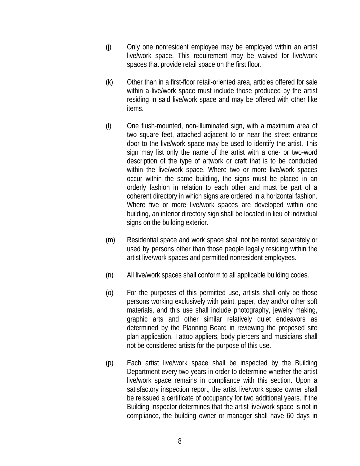- (j) Only one nonresident employee may be employed within an artist live/work space. This requirement may be waived for live/work spaces that provide retail space on the first floor.
- (k) Other than in a first-floor retail-oriented area, articles offered for sale within a live/work space must include those produced by the artist residing in said live/work space and may be offered with other like items.
- (l) One flush-mounted, non-illuminated sign, with a maximum area of two square feet, attached adjacent to or near the street entrance door to the live/work space may be used to identify the artist. This sign may list only the name of the artist with a one- or two-word description of the type of artwork or craft that is to be conducted within the live/work space. Where two or more live/work spaces occur within the same building, the signs must be placed in an orderly fashion in relation to each other and must be part of a coherent directory in which signs are ordered in a horizontal fashion. Where five or more live/work spaces are developed within one building, an interior directory sign shall be located in lieu of individual signs on the building exterior.
- (m) Residential space and work space shall not be rented separately or used by persons other than those people legally residing within the artist live/work spaces and permitted nonresident employees.
- (n) All live/work spaces shall conform to all applicable building codes.
- (o) For the purposes of this permitted use, artists shall only be those persons working exclusively with paint, paper, clay and/or other soft materials, and this use shall include photography, jewelry making, graphic arts and other similar relatively quiet endeavors as determined by the Planning Board in reviewing the proposed site plan application. Tattoo appliers, body piercers and musicians shall not be considered artists for the purpose of this use.
- (p) Each artist live/work space shall be inspected by the Building Department every two years in order to determine whether the artist live/work space remains in compliance with this section. Upon a satisfactory inspection report, the artist live/work space owner shall be reissued a certificate of occupancy for two additional years. If the Building Inspector determines that the artist live/work space is not in compliance, the building owner or manager shall have 60 days in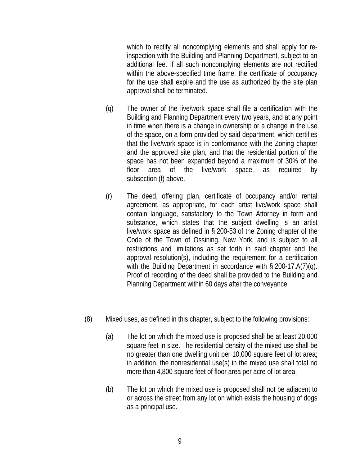which to rectify all noncomplying elements and shall apply for reinspection with the Building and Planning Department, subject to an additional fee. If all such noncomplying elements are not rectified within the above-specified time frame, the certificate of occupancy for the use shall expire and the use as authorized by the site plan approval shall be terminated.

- (q) The owner of the live/work space shall file a certification with the Building and Planning Department every two years, and at any point in time when there is a change in ownership or a change in the use of the space, on a form provided by said department, which certifies that the live/work space is in conformance with the Zoning chapter and the approved site plan, and that the residential portion of the space has not been expanded beyond a maximum of 30% of the floor area of the live/work space, as required by subsection (f) above.
- (r) The deed, offering plan, certificate of occupancy and/or rental agreement, as appropriate, for each artist live/work space shall contain language, satisfactory to the Town Attorney in form and substance, which states that the subject dwelling is an artist live/work space as defined in § 200-53 of the Zoning chapter of the Code of the Town of Ossining, New York, and is subject to all restrictions and limitations as set forth in said chapter and the approval resolution(s), including the requirement for a certification with the Building Department in accordance with § 200-17.A(7)(q). Proof of recording of the deed shall be provided to the Building and Planning Department within 60 days after the conveyance.
- (8) Mixed uses, as defined in this chapter, subject to the following provisions:
	- (a) The lot on which the mixed use is proposed shall be at least 20,000 square feet in size. The residential density of the mixed use shall be no greater than one dwelling unit per 10,000 square feet of lot area; in addition, the nonresidential use(s) in the mixed use shall total no more than 4,800 square feet of floor area per acre of lot area,
	- (b) The lot on which the mixed use is proposed shall not be adjacent to or across the street from any lot on which exists the housing of dogs as a principal use.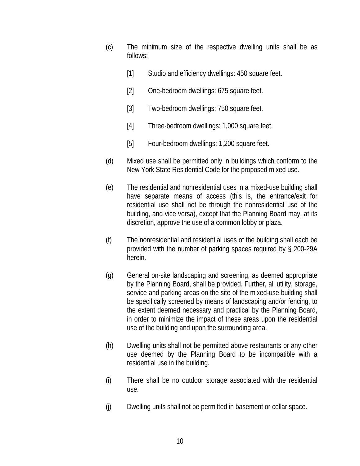- (c) The minimum size of the respective dwelling units shall be as follows:
	- [1] Studio and efficiency dwellings: 450 square feet.
	- [2] One-bedroom dwellings: 675 square feet.
	- [3] Two-bedroom dwellings: 750 square feet.
	- [4] Three-bedroom dwellings: 1,000 square feet.
	- [5] Four-bedroom dwellings: 1,200 square feet.
- (d) Mixed use shall be permitted only in buildings which conform to the New York State Residential Code for the proposed mixed use.
- (e) The residential and nonresidential uses in a mixed-use building shall have separate means of access (this is, the entrance/exit for residential use shall not be through the nonresidential use of the building, and vice versa), except that the Planning Board may, at its discretion, approve the use of a common lobby or plaza.
- (f) The nonresidential and residential uses of the building shall each be provided with the number of parking spaces required by § 200-29A herein.
- (g) General on-site landscaping and screening, as deemed appropriate by the Planning Board, shall be provided. Further, all utility, storage, service and parking areas on the site of the mixed-use building shall be specifically screened by means of landscaping and/or fencing, to the extent deemed necessary and practical by the Planning Board, in order to minimize the impact of these areas upon the residential use of the building and upon the surrounding area.
- (h) Dwelling units shall not be permitted above restaurants or any other use deemed by the Planning Board to be incompatible with a residential use in the building.
- (i) There shall be no outdoor storage associated with the residential use.
- (j) Dwelling units shall not be permitted in basement or cellar space.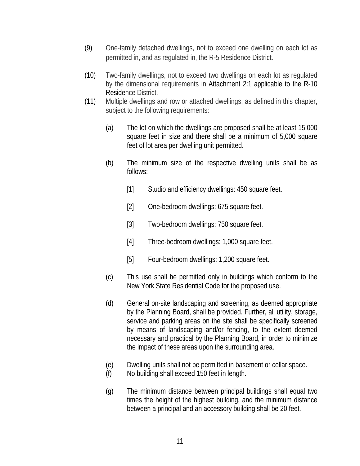- (9) One-family detached dwellings, not to exceed one dwelling on each lot as permitted in, and as regulated in, the R-5 Residence District.
- (10) Two-family dwellings, not to exceed two dwellings on each lot as regulated by the dimensional requirements in Attachment 2:1 applicable to the R-10 Residence District.
- (11) Multiple dwellings and row or attached dwellings, as defined in this chapter, subject to the following requirements:
	- (a) The lot on which the dwellings are proposed shall be at least 15,000 square feet in size and there shall be a minimum of 5,000 square feet of lot area per dwelling unit permitted.
	- (b) The minimum size of the respective dwelling units shall be as follows:
		- [1] Studio and efficiency dwellings: 450 square feet.
		- [2] One-bedroom dwellings: 675 square feet.
		- [3] Two-bedroom dwellings: 750 square feet.
		- [4] Three-bedroom dwellings: 1,000 square feet.
		- [5] Four-bedroom dwellings: 1,200 square feet.
	- (c) This use shall be permitted only in buildings which conform to the New York State Residential Code for the proposed use.
	- (d) General on-site landscaping and screening, as deemed appropriate by the Planning Board, shall be provided. Further, all utility, storage, service and parking areas on the site shall be specifically screened by means of landscaping and/or fencing, to the extent deemed necessary and practical by the Planning Board, in order to minimize the impact of these areas upon the surrounding area.
	- (e) Dwelling units shall not be permitted in basement or cellar space.
	- (f) No building shall exceed 150 feet in length.
	- (g) The minimum distance between principal buildings shall equal two times the height of the highest building, and the minimum distance between a principal and an accessory building shall be 20 feet.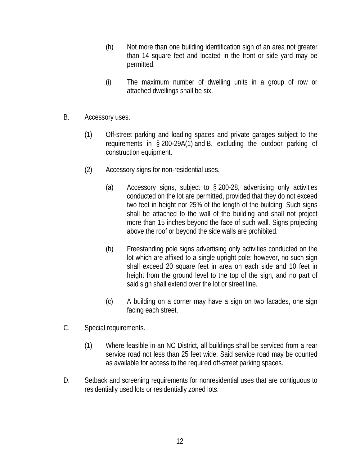- (h) Not more than one building identification sign of an area not greater than 14 square feet and located in the front or side yard may be permitted.
- (i) The maximum number of dwelling units in a group of row or attached dwellings shall be six.
- B. Accessory uses.
	- (1) Off-street parking and loading spaces and private garages subject to the requirements in § 200-29A(1) and B, excluding the outdoor parking of construction equipment.
	- (2) Accessory signs for non-residential uses.
		- (a) Accessory signs, subject to § 200-28, advertising only activities conducted on the lot are permitted, provided that they do not exceed two feet in height nor 25% of the length of the building. Such signs shall be attached to the wall of the building and shall not project more than 15 inches beyond the face of such wall. Signs projecting above the roof or beyond the side walls are prohibited.
		- (b) Freestanding pole signs advertising only activities conducted on the lot which are affixed to a single upright pole; however, no such sign shall exceed 20 square feet in area on each side and 10 feet in height from the ground level to the top of the sign, and no part of said sign shall extend over the lot or street line.
		- (c) A building on a corner may have a sign on two facades, one sign facing each street.
- C. Special requirements.
	- (1) Where feasible in an NC District, all buildings shall be serviced from a rear service road not less than 25 feet wide. Said service road may be counted as available for access to the required off-street parking spaces.
- D. Setback and screening requirements for nonresidential uses that are contiguous to residentially used lots or residentially zoned lots.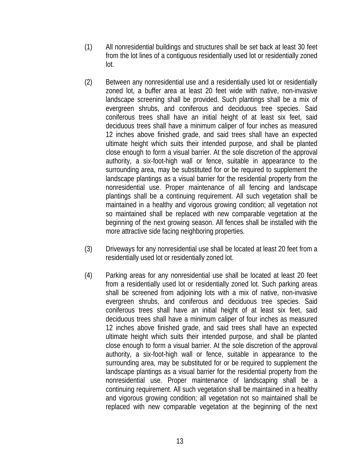- (1) All nonresidential buildings and structures shall be set back at least 30 feet from the lot lines of a contiguous residentially used lot or residentially zoned lot.
- (2) Between any nonresidential use and a residentially used lot or residentially zoned lot, a buffer area at least 20 feet wide with native, non-invasive landscape screening shall be provided. Such plantings shall be a mix of evergreen shrubs, and coniferous and deciduous tree species. Said coniferous trees shall have an initial height of at least six feet, said deciduous trees shall have a minimum caliper of four inches as measured 12 inches above finished grade, and said trees shall have an expected ultimate height which suits their intended purpose, and shall be planted close enough to form a visual barrier. At the sole discretion of the approval authority, a six-foot-high wall or fence, suitable in appearance to the surrounding area, may be substituted for or be required to supplement the landscape plantings as a visual barrier for the residential property from the nonresidential use. Proper maintenance of all fencing and landscape plantings shall be a continuing requirement. All such vegetation shall be maintained in a healthy and vigorous growing condition; all vegetation not so maintained shall be replaced with new comparable vegetation at the beginning of the next growing season. All fences shall be installed with the more attractive side facing neighboring properties.
- (3) Driveways for any nonresidential use shall be located at least 20 feet from a residentially used lot or residentially zoned lot.
- (4) Parking areas for any nonresidential use shall be located at least 20 feet from a residentially used lot or residentially zoned lot. Such parking areas shall be screened from adjoining lots with a mix of native, non-invasive evergreen shrubs, and coniferous and deciduous tree species. Said coniferous trees shall have an initial height of at least six feet, said deciduous trees shall have a minimum caliper of four inches as measured 12 inches above finished grade, and said trees shall have an expected ultimate height which suits their intended purpose, and shall be planted close enough to form a visual barrier. At the sole discretion of the approval authority, a six-foot-high wall or fence, suitable in appearance to the surrounding area, may be substituted for or be required to supplement the landscape plantings as a visual barrier for the residential property from the nonresidential use. Proper maintenance of landscaping shall be a continuing requirement. All such vegetation shall be maintained in a healthy and vigorous growing condition; all vegetation not so maintained shall be replaced with new comparable vegetation at the beginning of the next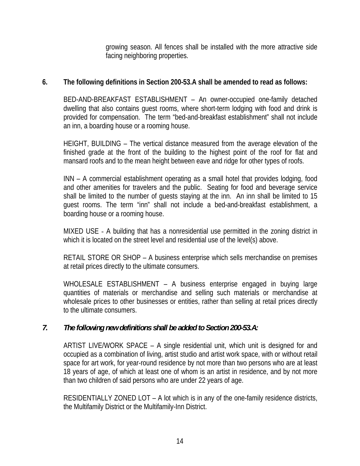growing season. All fences shall be installed with the more attractive side facing neighboring properties.

## **6. The following definitions in Section 200-53.A shall be amended to read as follows:**

BED-AND-BREAKFAST ESTABLISHMENT – An owner-occupied one-family detached dwelling that also contains guest rooms, where short-term lodging with food and drink is provided for compensation. The term "bed-and-breakfast establishment" shall not include an inn, a boarding house or a rooming house.

 HEIGHT, BUILDING – The vertical distance measured from the average elevation of the finished grade at the front of the building to the highest point of the roof for flat and mansard roofs and to the mean height between eave and ridge for other types of roofs.

INN – A commercial establishment operating as a small hotel that provides lodging, food and other amenities for travelers and the public. Seating for food and beverage service shall be limited to the number of guests staying at the inn. An inn shall be limited to 15 guest rooms. The term "inn" shall not include a bed-and-breakfast establishment, a boarding house or a rooming house.

MIXED USE - A building that has a nonresidential use permitted in the zoning district in which it is located on the street level and residential use of the level(s) above.

RETAIL STORE OR SHOP – A business enterprise which sells merchandise on premises at retail prices directly to the ultimate consumers.

 WHOLESALE ESTABLISHMENT – A business enterprise engaged in buying large quantities of materials or merchandise and selling such materials or merchandise at wholesale prices to other businesses or entities, rather than selling at retail prices directly to the ultimate consumers.

# *7. The following new definitions shall be added to Section 200-53.A:*

ARTIST LIVE/WORK SPACE – A single residential unit, which unit is designed for and occupied as a combination of living, artist studio and artist work space, with or without retail space for art work, for year-round residence by not more than two persons who are at least 18 years of age, of which at least one of whom is an artist in residence, and by not more than two children of said persons who are under 22 years of age.

RESIDENTIALLY ZONED LOT – A lot which is in any of the one-family residence districts, the Multifamily District or the Multifamily-Inn District.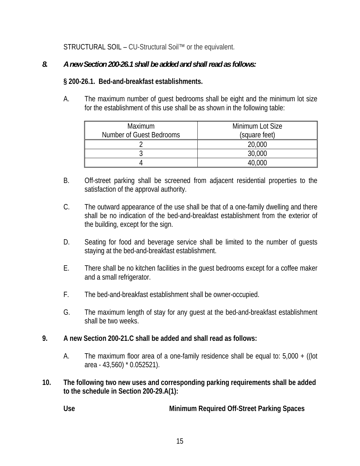STRUCTURAL SOIL – CU-Structural Soil™ or the equivalent.

# *8. A new Section 200-26.1 shall be added and shall read as follows:*

# **§ 200-26.1. Bed-and-breakfast establishments.**

A. The maximum number of guest bedrooms shall be eight and the minimum lot size for the establishment of this use shall be as shown in the following table:

| <b>Maximum</b><br>Number of Guest Bedrooms | Minimum Lot Size<br>(square feet) |
|--------------------------------------------|-----------------------------------|
|                                            | 20,000                            |
|                                            | 30,000                            |
|                                            |                                   |

- B. Off-street parking shall be screened from adjacent residential properties to the satisfaction of the approval authority.
- C. The outward appearance of the use shall be that of a one-family dwelling and there shall be no indication of the bed-and-breakfast establishment from the exterior of the building, except for the sign.
- D. Seating for food and beverage service shall be limited to the number of guests staying at the bed-and-breakfast establishment.
- E. There shall be no kitchen facilities in the guest bedrooms except for a coffee maker and a small refrigerator.
- F. The bed-and-breakfast establishment shall be owner-occupied.
- G. The maximum length of stay for any guest at the bed-and-breakfast establishment shall be two weeks.

### **9. A new Section 200-21.C shall be added and shall read as follows:**

- A. The maximum floor area of a one-family residence shall be equal to: 5,000 + ((lot area - 43,560) \* 0.052521).
- **10. The following two new uses and corresponding parking requirements shall be added to the schedule in Section 200-29.A(1):**

**Use Minimum Required Off-Street Parking Spaces**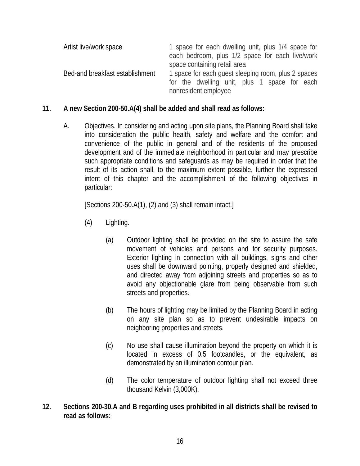| Artist live/work space          | 1 space for each dwelling unit, plus 1/4 space for<br>each bedroom, plus 1/2 space for each live/work |  |  |
|---------------------------------|-------------------------------------------------------------------------------------------------------|--|--|
| Bed-and breakfast establishment | space containing retail area<br>1 space for each quest sleeping room, plus 2 spaces                   |  |  |
|                                 | for the dwelling unit, plus 1 space for each<br>nonresident employee                                  |  |  |

### **11. A new Section 200-50.A(4) shall be added and shall read as follows:**

A. Objectives. In considering and acting upon site plans, the Planning Board shall take into consideration the public health, safety and welfare and the comfort and convenience of the public in general and of the residents of the proposed development and of the immediate neighborhood in particular and may prescribe such appropriate conditions and safeguards as may be required in order that the result of its action shall, to the maximum extent possible, further the expressed intent of this chapter and the accomplishment of the following objectives in particular:

[Sections 200-50.A(1), (2) and (3) shall remain intact.]

- (4) Lighting.
	- (a) Outdoor lighting shall be provided on the site to assure the safe movement of vehicles and persons and for security purposes. Exterior lighting in connection with all buildings, signs and other uses shall be downward pointing, properly designed and shielded, and directed away from adjoining streets and properties so as to avoid any objectionable glare from being observable from such streets and properties.
	- (b) The hours of lighting may be limited by the Planning Board in acting on any site plan so as to prevent undesirable impacts on neighboring properties and streets.
	- (c) No use shall cause illumination beyond the property on which it is located in excess of 0.5 footcandles, or the equivalent, as demonstrated by an illumination contour plan.
	- (d) The color temperature of outdoor lighting shall not exceed three thousand Kelvin (3,000K).
- **12. Sections 200-30.A and B regarding uses prohibited in all districts shall be revised to read as follows:**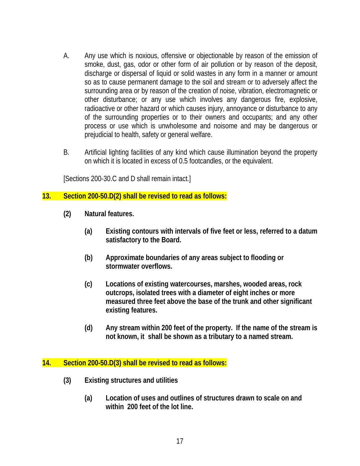- A. Any use which is noxious, offensive or objectionable by reason of the emission of smoke, dust, gas, odor or other form of air pollution or by reason of the deposit, discharge or dispersal of liquid or solid wastes in any form in a manner or amount so as to cause permanent damage to the soil and stream or to adversely affect the surrounding area or by reason of the creation of noise, vibration, electromagnetic or other disturbance; or any use which involves any dangerous fire, explosive, radioactive or other hazard or which causes injury, annoyance or disturbance to any of the surrounding properties or to their owners and occupants; and any other process or use which is unwholesome and noisome and may be dangerous or prejudicial to health, safety or general welfare.
- B. Artificial lighting facilities of any kind which cause illumination beyond the property on which it is located in excess of 0.5 footcandles, or the equivalent.

[Sections 200-30.C and D shall remain intact.]

#### **13. Section 200-50.D(2) shall be revised to read as follows:**

- **(2) Natural features.** 
	- **(a) Existing contours with intervals of five feet or less, referred to a datum satisfactory to the Board.**
	- **(b) Approximate boundaries of any areas subject to flooding or stormwater overflows.**
	- **(c) Locations of existing watercourses, marshes, wooded areas, rock outcrops, isolated trees with a diameter of eight inches or more measured three feet above the base of the trunk and other significant existing features.**
	- **(d) Any stream within 200 feet of the property. If the name of the stream is not known, it shall be shown as a tributary to a named stream.**

#### **14. Section 200-50.D(3) shall be revised to read as follows:**

- **(3) Existing structures and utilities** 
	- **(a) Location of uses and outlines of structures drawn to scale on and within 200 feet of the lot line.**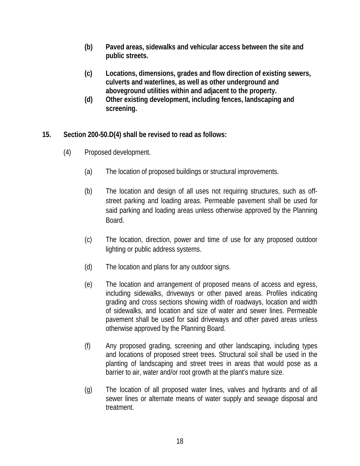- **(b) Paved areas, sidewalks and vehicular access between the site and public streets.**
- **(c) Locations, dimensions, grades and flow direction of existing sewers, culverts and waterlines, as well as other underground and aboveground utilities within and adjacent to the property.**
- **(d) Other existing development, including fences, landscaping and screening.**
- **15. Section 200-50.D(4) shall be revised to read as follows:** 
	- (4) Proposed development.
		- (a) The location of proposed buildings or structural improvements.
		- (b) The location and design of all uses not requiring structures, such as offstreet parking and loading areas. Permeable pavement shall be used for said parking and loading areas unless otherwise approved by the Planning Board.
		- (c) The location, direction, power and time of use for any proposed outdoor lighting or public address systems.
		- (d) The location and plans for any outdoor signs.
		- (e) The location and arrangement of proposed means of access and egress, including sidewalks, driveways or other paved areas. Profiles indicating grading and cross sections showing width of roadways, location and width of sidewalks, and location and size of water and sewer lines. Permeable pavement shall be used for said driveways and other paved areas unless otherwise approved by the Planning Board.
		- (f) Any proposed grading, screening and other landscaping, including types and locations of proposed street trees. Structural soil shall be used in the planting of landscaping and street trees in areas that would pose as a barrier to air, water and/or root growth at the plant's mature size.
		- (g) The location of all proposed water lines, valves and hydrants and of all sewer lines or alternate means of water supply and sewage disposal and treatment.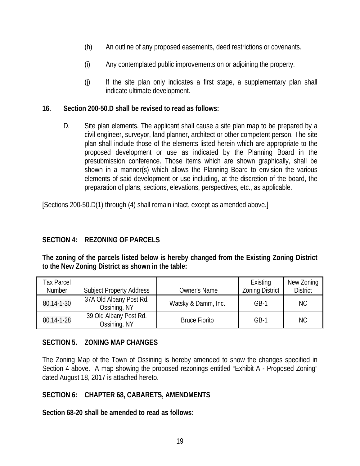- (h) An outline of any proposed easements, deed restrictions or covenants.
- (i) Any contemplated public improvements on or adjoining the property.
- (j) If the site plan only indicates a first stage, a supplementary plan shall indicate ultimate development.

#### **16. Section 200-50.D shall be revised to read as follows:**

D. Site plan elements. The applicant shall cause a site plan map to be prepared by a civil engineer, surveyor, land planner, architect or other competent person. The site plan shall include those of the elements listed herein which are appropriate to the proposed development or use as indicated by the Planning Board in the presubmission conference. Those items which are shown graphically, shall be shown in a manner(s) which allows the Planning Board to envision the various elements of said development or use including, at the discretion of the board, the preparation of plans, sections, elevations, perspectives, etc., as applicable.

[Sections 200-50.D(1) through (4) shall remain intact, except as amended above.]

### **SECTION 4: REZONING OF PARCELS**

**The zoning of the parcels listed below is hereby changed from the Existing Zoning District to the New Zoning District as shown in the table:**

| <b>Tax Parcel</b> |                                         |                      | Existing               | New Zoning      |
|-------------------|-----------------------------------------|----------------------|------------------------|-----------------|
| Number            | <b>Subject Property Address</b>         | <b>Owner's Name</b>  | <b>Zoning District</b> | <b>District</b> |
| 80.14-1-30        | 37A Old Albany Post Rd.<br>Ossining, NY | Watsky & Damm, Inc.  | $GB-1$                 | NC.             |
| 80.14-1-28        | 39 Old Albany Post Rd.<br>Ossining, NY  | <b>Bruce Fiorito</b> | $GB-1$                 | NC.             |

### **SECTION 5. ZONING MAP CHANGES**

The Zoning Map of the Town of Ossining is hereby amended to show the changes specified in Section 4 above. A map showing the proposed rezonings entitled "Exhibit A - Proposed Zoning" dated August 18, 2017 is attached hereto.

#### **SECTION 6: CHAPTER 68, CABARETS, AMENDMENTS**

**Section 68-20 shall be amended to read as follows:**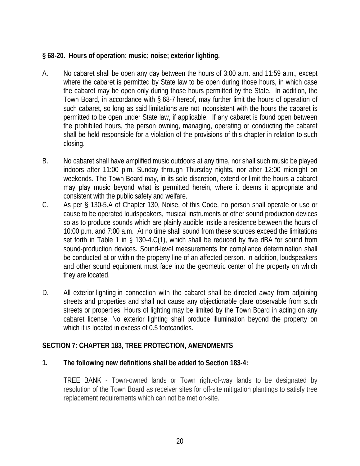# **§ 68-20. Hours of operation; music; noise; exterior lighting.**

- A. No cabaret shall be open any day between the hours of 3:00 a.m. and 11:59 a.m., except where the cabaret is permitted by State law to be open during those hours, in which case the cabaret may be open only during those hours permitted by the State. In addition, the Town Board, in accordance with § 68-7 hereof, may further limit the hours of operation of such cabaret, so long as said limitations are not inconsistent with the hours the cabaret is permitted to be open under State law, if applicable. If any cabaret is found open between the prohibited hours, the person owning, managing, operating or conducting the cabaret shall be held responsible for a violation of the provisions of this chapter in relation to such closing.
- B. No cabaret shall have amplified music outdoors at any time, nor shall such music be played indoors after 11:00 p.m. Sunday through Thursday nights, nor after 12:00 midnight on weekends. The Town Board may, in its sole discretion, extend or limit the hours a cabaret may play music beyond what is permitted herein, where it deems it appropriate and consistent with the public safety and welfare.
- C. As per § 130-5.A of Chapter 130, Noise, of this Code, no person shall operate or use or cause to be operated loudspeakers, musical instruments or other sound production devices so as to produce sounds which are plainly audible inside a residence between the hours of 10:00 p.m. and 7:00 a.m. At no time shall sound from these sources exceed the limitations set forth in Table 1 in § 130-4.C(1), which shall be reduced by five dBA for sound from sound-production devices. Sound-level measurements for compliance determination shall be conducted at or within the property line of an affected person. In addition, loudspeakers and other sound equipment must face into the geometric center of the property on which they are located.
- D. All exterior lighting in connection with the cabaret shall be directed away from adjoining streets and properties and shall not cause any objectionable glare observable from such streets or properties. Hours of lighting may be limited by the Town Board in acting on any cabaret license. No exterior lighting shall produce illumination beyond the property on which it is located in excess of 0.5 footcandles.

### **SECTION 7: CHAPTER 183, TREE PROTECTION, AMENDMENTS**

### **1. The following new definitions shall be added to Section 183-4:**

TREE BANK - Town-owned lands or Town right-of-way lands to be designated by resolution of the Town Board as receiver sites for off-site mitigation plantings to satisfy tree replacement requirements which can not be met on-site.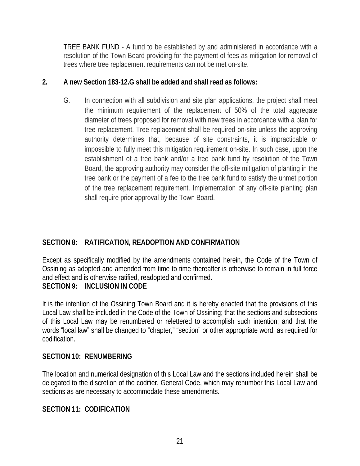TREE BANK FUND - A fund to be established by and administered in accordance with a resolution of the Town Board providing for the payment of fees as mitigation for removal of trees where tree replacement requirements can not be met on-site.

### **2. A new Section 183-12.G shall be added and shall read as follows:**

G. In connection with all subdivision and site plan applications, the project shall meet the minimum requirement of the replacement of 50% of the total aggregate diameter of trees proposed for removal with new trees in accordance with a plan for tree replacement. Tree replacement shall be required on-site unless the approving authority determines that, because of site constraints, it is impracticable or impossible to fully meet this mitigation requirement on-site. In such case, upon the establishment of a tree bank and/or a tree bank fund by resolution of the Town Board, the approving authority may consider the off-site mitigation of planting in the tree bank or the payment of a fee to the tree bank fund to satisfy the unmet portion of the tree replacement requirement. Implementation of any off-site planting plan shall require prior approval by the Town Board.

# **SECTION 8: RATIFICATION, READOPTION AND CONFIRMATION**

Except as specifically modified by the amendments contained herein, the Code of the Town of Ossining as adopted and amended from time to time thereafter is otherwise to remain in full force and effect and is otherwise ratified, readopted and confirmed.

### **SECTION 9: INCLUSION IN CODE**

It is the intention of the Ossining Town Board and it is hereby enacted that the provisions of this Local Law shall be included in the Code of the Town of Ossining; that the sections and subsections of this Local Law may be renumbered or relettered to accomplish such intention; and that the words "local law" shall be changed to "chapter," "section" or other appropriate word, as required for codification.

### **SECTION 10: RENUMBERING**

The location and numerical designation of this Local Law and the sections included herein shall be delegated to the discretion of the codifier, General Code, which may renumber this Local Law and sections as are necessary to accommodate these amendments.

### **SECTION 11: CODIFICATION**